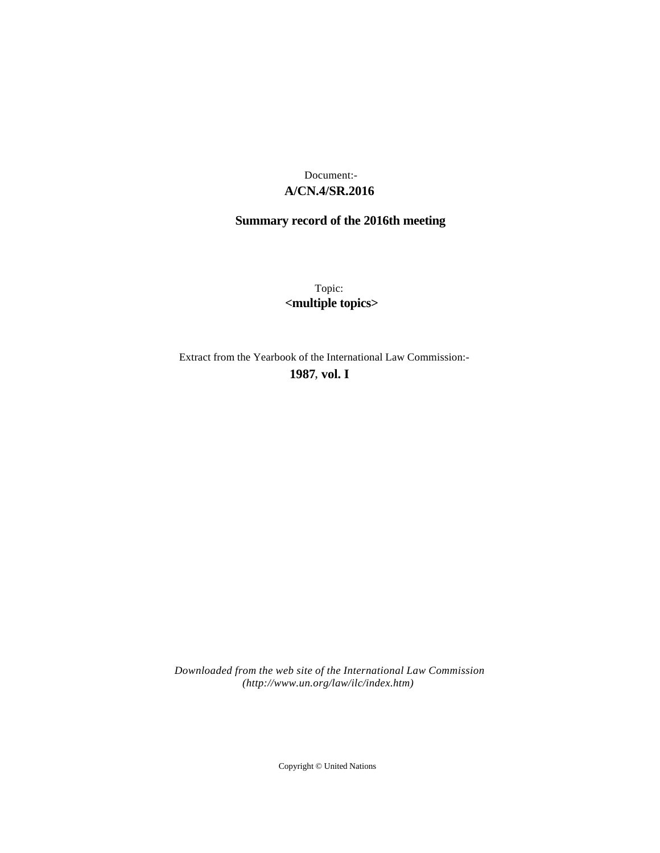# **A/CN.4/SR.2016** Document:-

# **Summary record of the 2016th meeting**

Topic: **<multiple topics>**

Extract from the Yearbook of the International Law Commission:-

**1987** , **vol. I**

*Downloaded from the web site of the International Law Commission (http://www.un.org/law/ilc/index.htm)*

Copyright © United Nations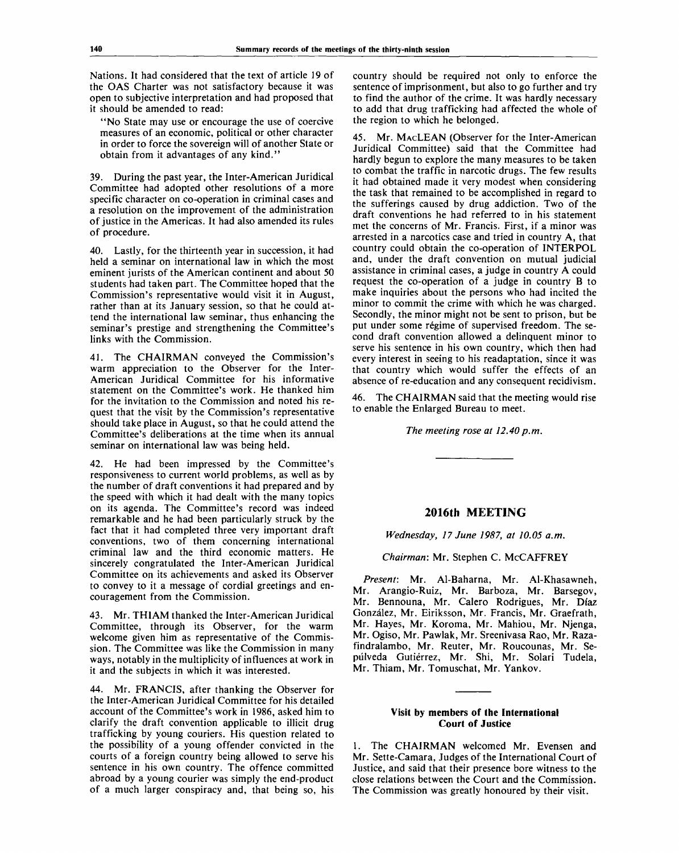Nations. It had considered that the text of article 19 of the OAS Charter was not satisfactory because it was open to subjective interpretation and had proposed that it should be amended to read:

"No State may use or encourage the use of coercive measures of an economic, political or other character in order to force the sovereign will of another State or obtain from it advantages of any kind."

39. During the past year, the Inter-American Juridical Committee had adopted other resolutions of a more specific character on co-operation in criminal cases and a resolution on the improvement of the administration of justice in the Americas. It had also amended its rules of procedure.

40. Lastly, for the thirteenth year in succession, it had held a seminar on international law in which the most eminent jurists of the American continent and about 50 students had taken part. The Committee hoped that the Commission's representative would visit it in August, rather than at its January session, so that he could attend the international law seminar, thus enhancing the seminar's prestige and strengthening the Committee's links with the Commission.

41. The CHAIRMAN conveyed the Commission's warm appreciation to the Observer for the Inter-American Juridical Committee for his informative statement on the Committee's work. He thanked him for the invitation to the Commission and noted his request that the visit by the Commission's representative should take place in August, so that he could attend the Committee's deliberations at the time when its annual seminar on international law was being held.

42. He had been impressed by the Committee's responsiveness to current world problems, as well as by the number of draft conventions it had prepared and by the speed with which it had dealt with the many topics on its agenda. The Committee's record was indeed remarkable and he had been particularly struck by the fact that it had completed three very important draft conventions, two of them concerning international criminal law and the third economic matters. He sincerely congratulated the Inter-American Juridical Committee on its achievements and asked its Observer to convey to it a message of cordial greetings and encouragement from the Commission.

43. Mr. THIAM thanked the Inter-American Juridical Committee, through its Observer, for the warm welcome given him as representative of the Commission. The Committee was like the Commission in many ways, notably in the multiplicity of influences at work in it and the subjects in which it was interested.

44. Mr. FRANCIS, after thanking the Observer for the Inter-American Juridical Committee for his detailed account of the Committee's work in 1986, asked him to clarify the draft convention applicable to illicit drug trafficking by young couriers. His question related to the possibility of a young offender convicted in the courts of a foreign country being allowed to serve his sentence in his own country. The offence committed abroad by a young courier was simply the end-product of a much larger conspiracy and, that being so, his

country should be required not only to enforce the sentence of imprisonment, but also to go further and try to find the author of the crime. It was hardly necessary to add that drug trafficking had affected the whole of the region to which he belonged.

45. Mr. MACLEAN (Observer for the Inter-American Juridical Committee) said that the Committee had hardly begun to explore the many measures to be taken to combat the traffic in narcotic drugs. The few results it had obtained made it very modest when considering the task that remained to be accomplished in regard to the sufferings caused by drug addiction. Two of the draft conventions he had referred to in his statement met the concerns of Mr. Francis. First, if a minor was arrested in a narcotics case and tried in country A, that country could obtain the co-operation of INTERPOL and, under the draft convention on mutual judicial assistance in criminal cases, a judge in country A could request the co-operation of a judge in country B to make inquiries about the persons who had incited the minor to commit the crime with which he was charged. Secondly, the minor might not be sent to prison, but be put under some régime of supervised freedom. The second draft convention allowed a delinquent minor to serve his sentence in his own country, which then had every interest in seeing to his readaptation, since it was that country which would suffer the effects of an absence of re-education and any consequent recidivism.

The CHAIRMAN said that the meeting would rise to enable the Enlarged Bureau to meet.

#### *The meeting rose at 12.40p.m.*

# **2016th MEETING**

*Wednesday, 17 June 1987, at 10.05 a.m.*

#### *Chairman:* Mr. Stephen C. McCAFFREY

*Present:* Mr. Al-Baharna, Mr. Al-Khasawneh, Mr. Arangio-Ruiz, Mr. Barboza, Mr. Barsegov, Mr. Bennouna, Mr. Calero Rodrigues, Mr. Diaz Gonzalez, Mr. Eiriksson, Mr. Francis, Mr. Graefrath, Mr. Hayes, Mr. Koroma, Mr. Mahiou, Mr. Njenga, Mr. Ogiso, Mr. Pawlak, Mr. Sreenivasa Rao, Mr. Razafindralambo, Mr. Reuter, Mr. Roucounas, Mr. Sepiilveda Gutierrez, Mr. Shi, Mr. Solari Tudela, Mr. Thiam, Mr. Tomuschat, Mr. Yankov.

#### **Visit by members of the International Court of Justice**

1. The CHAIRMAN welcomed Mr. Evensen and Mr. Sette-Camara, Judges of the International Court of Justice, and said that their presence bore witness to the close relations between the Court and the Commission. The Commission was greatly honoured by their visit.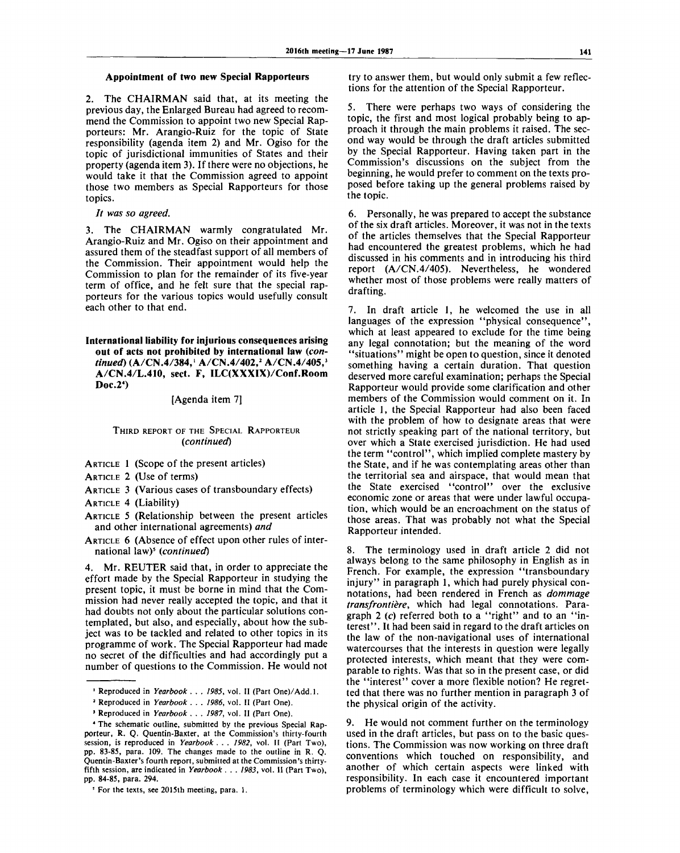#### **Appointment of two new Special Rapporteurs**

2. The CHAIRMAN said that, at its meeting the previous day, the Enlarged Bureau had agreed to recommend the Commission to appoint two new Special Rapporteurs: Mr. Arangio-Ruiz for the topic of State responsibility (agenda item 2) and Mr. Ogiso for the topic of jurisdictional immunities of States and their property (agenda item 3). If there were no objections, he would take it that the Commission agreed to appoint those two members as Special Rapporteurs for those topics.

// *was so agreed.*

3. The CHAIRMAN warmly congratulated Mr. Arangio-Ruiz and Mr. Ogiso on their appointment and assured them of the steadfast support of all members of the Commission. Their appointment would help the Commission to plan for the remainder of its five-year term of office, and he felt sure that the special rapporteurs for the various topics would usefully consult each other to that end.

**International liability for injurious consequences arising out of acts not prohibited by international law** *(continued)* **(A/CN.4/384,<sup>1</sup> A/CN.4/402,<sup>2</sup> A/CN.4/405,<sup>3</sup> A/CN.4/L.410, sect. F, ILC(XXXIX)/Conf.Room Doc.2<sup>4</sup> )**

## [Agenda item 7]

# THIRD REPORT OF THE SPECIAL RAPPORTEUR *(continued)*

- ARTICLE 1 (Scope of the present articles)
- ARTICLE 2 (Use of terms)
- ARTICLE 3 (Various cases of transboundary effects)

ARTICLE 4 (Liability)

- ARTICLE 5 (Relationship between the present articles and other international agreements) *and*
- ARTICLE 6 (Absence of effect upon other rules of intermational law)<sup>5</sup> (continued)

Mr. REUTER said that, in order to appreciate the effort made by the Special Rapporteur in studying the present topic, it must be borne in mind that the Commission had never really accepted the topic, and that it had doubts not only about the particular solutions contemplated, but also, and especially, about how the subject was to be tackled and related to other topics in its programme of work. The Special Rapporteur had made no secret of the difficulties and had accordingly put a number of questions to the Commission. He would not

try to answer them, but would only submit a few reflections for the attention of the Special Rapporteur.

5. There were perhaps two ways of considering the topic, the first and most logical probably being to approach it through the main problems it raised. The second way would be through the draft articles submitted by the Special Rapporteur. Having taken part in the Commission's discussions on the subject from the beginning, he would prefer to comment on the texts proposed before taking up the general problems raised by the topic.

6. Personally, he was prepared to accept the substance of the six draft articles. Moreover, it was not in the texts of the articles themselves that the Special Rapporteur had encountered the greatest problems, which he had discussed in his comments and in introducing his third report (A/CN.4/405). Nevertheless, he wondered whether most of those problems were really matters of drafting.

7. In draft article 1, he welcomed the use in all languages of the expression "physical consequence", which at least appeared to exclude for the time being any legal connotation; but the meaning of the word "situations" might be open to question, since it denoted something having a certain duration. That question deserved more careful examination; perhaps the Special Rapporteur would provide some clarification and other members of the Commission would comment on it. In article 1, the Special Rapporteur had also been faced with the problem of how to designate areas that were not strictly speaking part of the national territory, but over which a State exercised jurisdiction. He had used the term "control", which implied complete mastery by the State, and if he was contemplating areas other than the territorial sea and airspace, that would mean that the State exercised "control" over the exclusive economic zone or areas that were under lawful occupation, which would be an encroachment on the status of those areas. That was probably not what the Special Rapporteur intended.

8. The terminology used in draft article 2 did not always belong to the same philosophy in English as in French. For example, the expression "transboundary injury" in paragraph 1, which had purely physical connotations, had been rendered in French as *dommage transfrontiere,* which had legal connotations. Paragraph 2 *(c)* referred both to a "right" and to an "interest". It had been said in regard to the draft articles on the law of the non-navigational uses of international watercourses that the interests in question were legally protected interests, which meant that they were comparable to rights. Was that so in the present case, or did the "interest" cover a more flexible notion? He regretted that there was no further mention in paragraph 3 of the physical origin of the activity.

9. He would not comment further on the terminology used in the draft articles, but pass on to the basic questions. The Commission was now working on three draft conventions which touched on responsibility, and another of which certain aspects were linked with responsibility. In each case it encountered important problems of terminology which were difficult to solve,

<sup>1</sup> Reproduced in *Yearbook . . . 1985,* vol. II (Part One)/Add.l.

<sup>2</sup> Reproduced in *Yearbook . . . 1986,* vol. II (Part One).

<sup>&#</sup>x27; Reproduced in *Yearbook . . . 1987,* vol. II (Part One).

<sup>4</sup> The schematic outline, submitted by the previous Special Rapporteur, R. Q. Quentin-Baxter, at the Commission's thirty-fourth session, is reproduced in *Yearbook . . . 1982,* vol. II (Part Two), pp. 83-85, para. 109. The changes made to the outline in R. Q. Quentin-Baxter's fourth report, submitted at the Commission's thirtyfifth session, are indicated in *Yearbook . . . 1983,* vol. II (Part Two), pp. 84-85, para. 294.

<sup>5</sup> For the texts, see 2015th meeting, para. 1.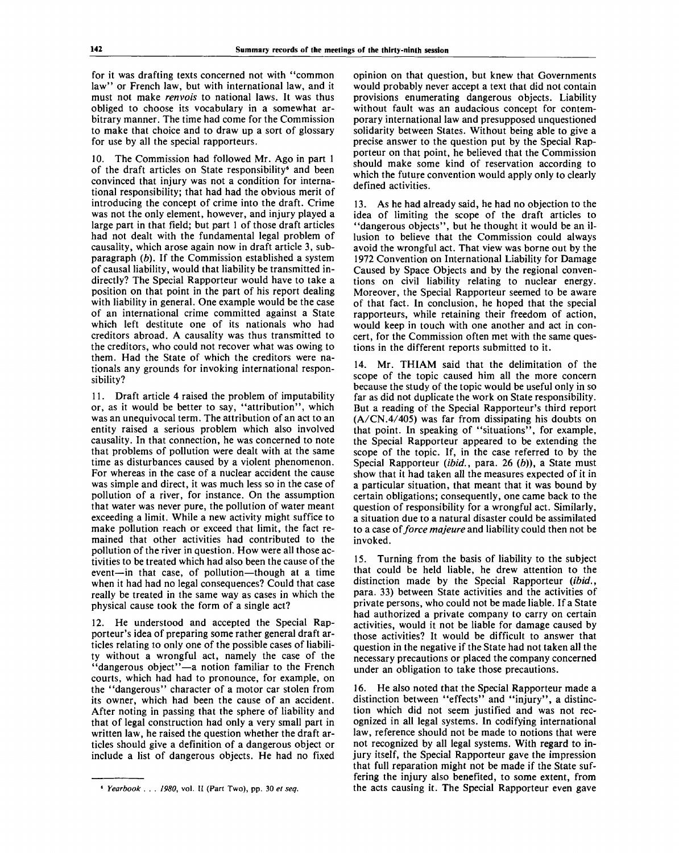for it was drafting texts concerned not with "common law" or French law, but with international law, and it must not make *renvois* to national laws. It was thus obliged to choose its vocabulary in a somewhat arbitrary manner. The time had come for the Commission to make that choice and to draw up a sort of glossary for use by all the special rapporteurs.

The Commission had followed Mr. Ago in part 1 of the draft articles on State responsibility<sup>6</sup> and been convinced that injury was not a condition for international responsibility; that had had the obvious merit of introducing the concept of crime into the draft. Crime was not the only element, however, and injury played a large part in that field; but part 1 of those draft articles had not dealt with the fundamental legal problem of causality, which arose again now in draft article 3, subparagraph *(b).* If the Commission established a system of causal liability, would that liability be transmitted indirectly? The Special Rapporteur would have to take a position on that point in the part of his report dealing with liability in general. One example would be the case of an international crime committed against a State which left destitute one of its nationals who had creditors abroad. A causality was thus transmitted to the creditors, who could not recover what was owing to them. Had the State of which the creditors were nationals any grounds for invoking international responsibility?

11. Draft article 4 raised the problem of imputability or, as it would be better to say, "attribution", which was an unequivocal term. The attribution of an act to an entity raised a serious problem which also involved causality. In that connection, he was concerned to note that problems of pollution were dealt with at the same time as disturbances caused by a violent phenomenon. For whereas in the case of a nuclear accident the cause was simple and direct, it was much less so in the case of pollution of a river, for instance. On the assumption that water was never pure, the pollution of water meant exceeding a limit. While a new activity might suffice to make pollution reach or exceed that limit, the fact remained that other activities had contributed to the pollution of the river in question. How were all those activities to be treated which had also been the cause of the event—in that case, of pollution—though at a time when it had had no legal consequences? Could that case really be treated in the same way as cases in which the physical cause took the form of a single act?

12. He understood and accepted the Special Rapporteur's idea of preparing some rather general draft articles relating to only one of the possible cases of liability without a wrongful act, namely the case of the "dangerous object"—a notion familiar to the French courts, which had had to pronounce, for example, on the "dangerous" character of a motor car stolen from its owner, which had been the cause of an accident. After noting in passing that the sphere of liability and that of legal construction had only a very small part in written law, he raised the question whether the draft articles should give a definition of a dangerous object or include a list of dangerous objects. He had no fixed

opinion on that question, but knew that Governments would probably never accept a text that did not contain provisions enumerating dangerous objects. Liability without fault was an audacious concept for contemporary international law and presupposed unquestioned solidarity between States. Without being able to give a precise answer to the question put by the Special Rapporteur on that point, he believed that the Commission should make some kind of reservation according to which the future convention would apply only to clearly defined activities.

As he had already said, he had no objection to the idea of limiting the scope of the draft articles to "dangerous objects", but he thought it would be an illusion to believe that the Commission could always avoid the wrongful act. That view was borne out by the 1972 Convention on International Liability for Damage Caused by Space Objects and by the regional conventions on civil liability relating to nuclear energy. Moreover, the Special Rapporteur seemed to be aware of that fact. In conclusion, he hoped that the special rapporteurs, while retaining their freedom of action, would keep in touch with one another and act in concert, for the Commission often met with the same questions in the different reports submitted to it.

14. Mr. THIAM said that the delimitation of the scope of the topic caused him all the more concern because the study of the topic would be useful only in so far as did not duplicate the work on State responsibility. But a reading of the Special Rapporteur's third report (A/CN.4/405) was far from dissipating his doubts on that point. In speaking of "situations", for example, the Special Rapporteur appeared to be extending the scope of the topic. If, in the case referred to by the Special Rapporteur *{ibid.,* para. 26 *{b)),* a State must show that it had taken all the measures expected of it in a particular situation, that meant that it was bound by certain obligations; consequently, one came back to the question of responsibility for a wrongful act. Similarly, a situation due to a natural disaster could be assimilated to a case *oi force majeure* and liability could then not be invoked.

15. Turning from the basis of liability to the subject that could be held liable, he drew attention to the distinction made by the Special Rapporteur *{ibid.,* para. 33) between State activities and the activities of private persons, who could not be made liable. If a State had authorized a private company to carry on certain activities, would it not be liable for damage caused by those activities? It would be difficult to answer that question in the negative if the State had not taken all the necessary precautions or placed the company concerned under an obligation to take those precautions.

16. He also noted that the Special Rapporteur made a distinction between "effects" and "injury", a distinction which did not seem justified and was not recognized in all legal systems. In codifying international law, reference should not be made to notions that were not recognized by all legal systems. With regard to injury itself, the Special Rapporteur gave the impression that full reparation might not be made if the State suffering the injury also benefited, to some extent, from the acts causing it. The Special Rapporteur even gave

<sup>6</sup>  *Yearbook . . . 1980,* vol. II (Part Two), pp. 30 *et seq.*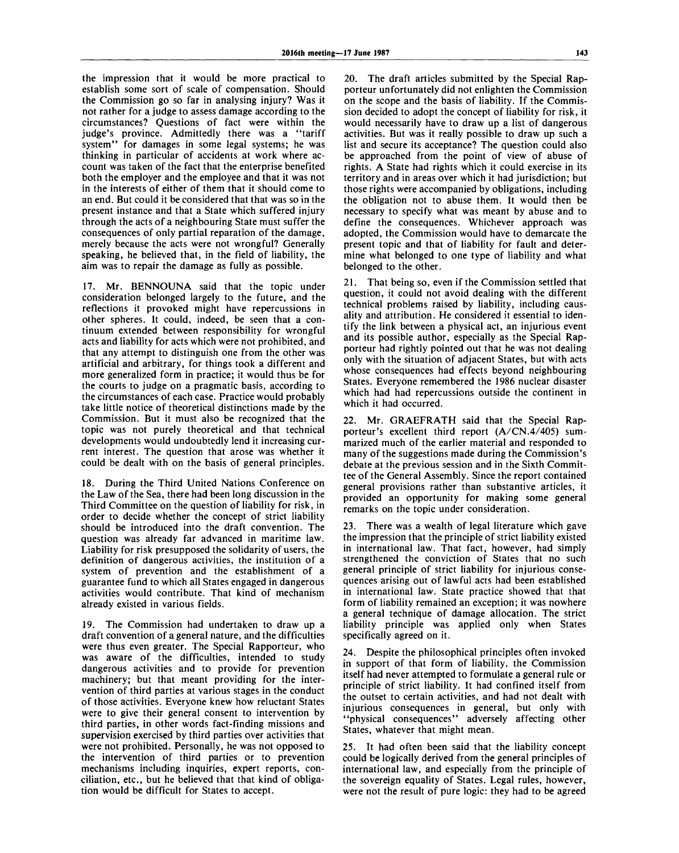the impression that it would be more practical to establish some sort of scale of compensation. Should the Commission go so far in analysing injury? Was it not rather for a judge to assess damage according to the circumstances? Questions of fact were within the judge's province. Admittedly there was a "tariff system" for damages in some legal systems; he was thinking in particular of accidents at work where account was taken of the fact that the enterprise benefited both the employer and the employee and that it was not in the interests of either of them that it should come to an end. But could it be considered that that was so in the present instance and that a State which suffered injury through the acts of a neighbouring State must suffer the consequences of only partial reparation of the damage, merely because the acts were not wrongful? Generally speaking, he believed that, in the field of liability, the aim was to repair the damage as fully as possible.

17. Mr. BENNOUNA said that the topic under consideration belonged largely to the future, and the reflections it provoked might have repercussions in other spheres. It could, indeed, be seen that a continuum extended between responsibility for wrongful acts and liability for acts which were not prohibited, and that any attempt to distinguish one from the other was artificial and arbitrary, for things took a different and more generalized form in practice; it would thus be for the courts to judge on a pragmatic basis, according to the circumstances of each case. Practice would probably take little notice of theoretical distinctions made by the Commission. But it must also be recognized that the topic was not purely theoretical and that technical developments would undoubtedly lend it increasing current interest. The question that arose was whether it could be dealt with on the basis of general principles.

18. During the Third United Nations Conference on the Law of the Sea, there had been long discussion in the Third Committee on the question of liability for risk, in order to decide whether the concept of strict liability should be introduced into the draft convention. The question was already far advanced in maritime law. Liability for risk presupposed the solidarity of users, the definition of dangerous activities, the institution of a system of prevention and the establishment of a guarantee fund to which all States engaged in dangerous activities would contribute. That kind of mechanism already existed in various fields.

19. The Commission had undertaken to draw up a draft convention of a general nature, and the difficulties were thus even greater. The Special Rapporteur, who was aware of the difficulties, intended to study dangerous activities and to provide for prevention machinery; but that meant providing for the intervention of third parties at various stages in the conduct of those activities. Everyone knew how reluctant States were to give their general consent to intervention by third parties, in other words fact-finding missions and supervision exercised by third parties over activities that were not prohibited. Personally, he was not opposed to the intervention of third parties or to prevention mechanisms including inquiries, expert reports, conciliation, etc., but he believed that that kind of obligation would be difficult for States to accept.

20. The draft articles submitted by the Special Rapporteur unfortunately did not enlighten the Commission on the scope and the basis of liability. If the Commission decided to adopt the concept of liability for risk, it would necessarily have to draw up a list of dangerous activities. But was it really possible to draw up such a list and secure its acceptance? The question could also be approached from the point of view of abuse of rights. A State had rights which it could exercise in its territory and in areas over which it had jurisdiction; but those rights were accompanied by obligations, including the obligation not to abuse them. It would then be necessary to specify what was meant by abuse and to define the consequences. Whichever approach was adopted, the Commission would have to demarcate the present topic and that of liability for fault and determine what belonged to one type of liability and what belonged to the other.

21. That being so, even if the Commission settled that question, it could not avoid dealing with the different technical problems raised by liability, including causality and attribution. He considered it essential to identify the link between a physical act, an injurious event and its possible author, especially as the Special Rapporteur had rightly pointed out that he was not dealing only with the situation of adjacent States, but with acts whose consequences had effects beyond neighbouring States. Everyone remembered the 1986 nuclear disaster which had had repercussions outside the continent in which it had occurred.

22. Mr. GRAEFRATH said that the Special Rapporteur's excellent third report (A/CN.4/405) summarized much of the earlier material and responded to many of the suggestions made during the Commission's debate at the previous session and in the Sixth Committee of the General Assembly. Since the report contained general provisions rather than substantive articles, it provided an opportunity for making some general remarks on the topic under consideration.

23. There was a wealth of legal literature which gave the impression that the principle of strict liability existed in international law. That fact, however, had simply strengthened the conviction of States that no such general principle of strict liability for injurious consequences arising out of lawful acts had been established in international law. State practice showed that that form of liability remained an exception; it was nowhere a general technique of damage allocation. The strict liability principle was applied only when States specifically agreed on it.

24. Despite the philosophical principles often invoked in support of that form of liability, the Commission itself had never attempted to formulate a general rule or principle of strict liability. It had confined itself from the outset to certain activities, and had not dealt with injurious consequences in general, but only with "physical consequences" adversely affecting other States, whatever that might mean.

25. It had often been said that the liability concept could be logically derived from the general principles of international law, and especially from the principle of the sovereign equality of States. Legal rules, however, were not the result of pure logic: they had to be agreed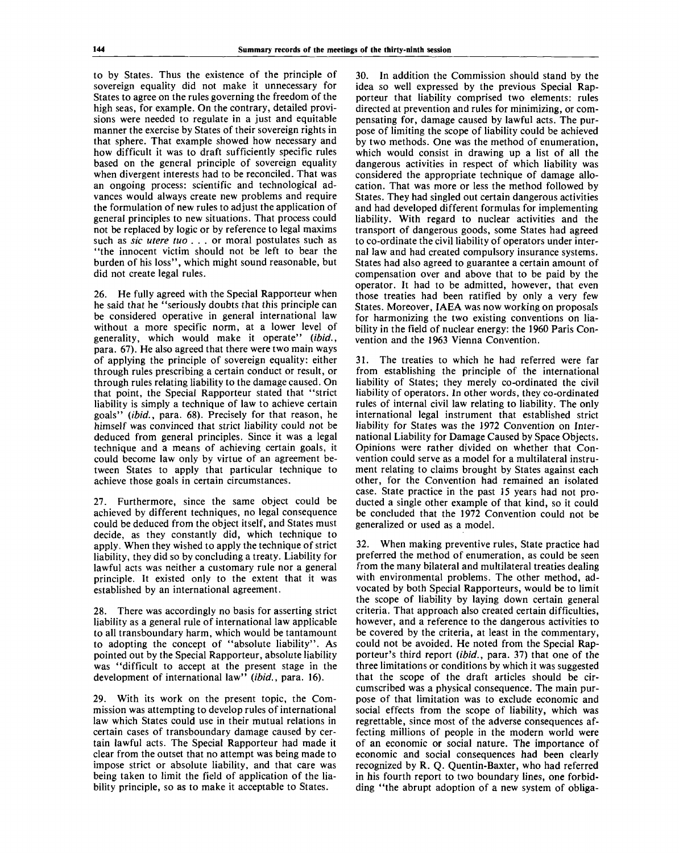to by States. Thus the existence of the principle of sovereign equality did not make it unnecessary for States to agree on the rules governing the freedom of the high seas, for example. On the contrary, detailed provisions were needed to regulate in a just and equitable manner the exercise by States of their sovereign rights in that sphere. That example showed how necessary and how difficult it was to draft sufficiently specific rules based on the general principle of sovereign equality when divergent interests had to be reconciled. That was an ongoing process: scientific and technological advances would always create new problems and require the formulation of new rules to adjust the application of general principles to new situations. That process could not be replaced by logic or by reference to legal maxims such as *sic utere tuo* .. . or moral postulates such as "the innocent victim should not be left to bear the burden of his loss", which might sound reasonable, but did not create legal rules.

26. He fully agreed with the Special Rapporteur when he said that he "seriously doubts that this principle can be considered operative in general international law without a more specific norm, at a lower level of generality, which would make it operate" *(ibid.,* para. 67). He also agreed that there were two main ways of applying the principle of sovereign equality: either through rules prescribing a certain conduct or result, or through rules relating liability to the damage caused. On that point, the Special Rapporteur stated that "strict liability is simply a technique of law to achieve certain goals" *(ibid.,* para. 68). Precisely for that reason, he himself was convinced that strict liability could not be deduced from general principles. Since it was a legal technique and a means of achieving certain goals, it could become law only by virtue of an agreement between States to apply that particular technique to achieve those goals in certain circumstances.

27. Furthermore, since the same object could be achieved by different techniques, no legal consequence could be deduced from the object itself, and States must decide, as they constantly did, which technique to apply. When they wished to apply the technique of strict liability, they did so by concluding a treaty. Liability for lawful acts was neither a customary rule nor a general principle. It existed only to the extent that it was established by an international agreement.

28. There was accordingly no basis for asserting strict liability as a general rule of international law applicable to all transboundary harm, which would be tantamount to adopting the concept of "absolute liability". As pointed out by the Special Rapporteur, absolute liability was "difficult to accept at the present stage in the development of international law" *(ibid.,* para. 16).

29. With its work on the present topic, the Commission was attempting to develop rules of international law which States could use in their mutual relations in certain cases of transboundary damage caused by certain lawful acts. The Special Rapporteur had made it clear from the outset that no attempt was being made to impose strict or absolute liability, and that care was being taken to limit the field of application of the liability principle, so as to make it acceptable to States.

30. In addition the Commission should stand by the idea so well expressed by the previous Special Rapporteur that liability comprised two elements: rules directed at prevention and rules for minimizing, or compensating for, damage caused by lawful acts. The purpose of limiting the scope of liability could be achieved by two methods. One was the method of enumeration, which would consist in drawing up a list of all the dangerous activities in respect of which liability was considered the appropriate technique of damage allocation. That was more or less the method followed by States. They had singled out certain dangerous activities and had developed different formulas for implementing liability. With regard to nuclear activities and the transport of dangerous goods, some States had agreed to co-ordinate the civil liability of operators under internal law and had created compulsory insurance systems. States had also agreed to guarantee a certain amount of compensation over and above that to be paid by the operator. It had to be admitted, however, that even those treaties had been ratified by only a very few States. Moreover, IAEA was now working on proposals for harmonizing the two existing conventions on liability in the field of nuclear energy: the 1960 Paris Convention and the 1963 Vienna Convention.

31. The treaties to which he had referred were far from establishing the principle of the international liability of States; they merely co-ordinated the civil liability of operators. In other words, they co-ordinated rules of internal civil law relating to liability. The only international legal instrument that established strict liability for States was the 1972 Convention on International Liability for Damage Caused by Space Objects. Opinions were rather divided on whether that Convention could serve as a model for a multilateral instrument relating to claims brought by States against each other, for the Convention had remained an isolated case. State practice in the past 15 years had not producted a single other example of that kind, so it could be concluded that the 1972 Convention could not be generalized or used as a model.

32. When making preventive rules, State practice had preferred the method of enumeration, as could be seen from the many bilateral and multilateral treaties dealing with environmental problems. The other method, advocated by both Special Rapporteurs, would be to limit the scope of liability by laying down certain general criteria. That approach also created certain difficulties, however, and a reference to the dangerous activities to be covered by the criteria, at least in the commentary, could not be avoided. He noted from the Special Rapporteur's third report *(ibid.,* para. 37) that one of the three limitations or conditions by which it was suggested that the scope of the draft articles should be circumscribed was a physical consequence. The main purpose of that limitation was to exclude economic and social effects from the scope of liability, which was regrettable, since most of the adverse consequences affecting millions of people in the modern world were of an economic or social nature. The importance of economic and social consequences had been clearly recognized by R. Q. Quentin-Baxter, who had referred in his fourth report to two boundary lines, one forbidding "the abrupt adoption of a new system of obliga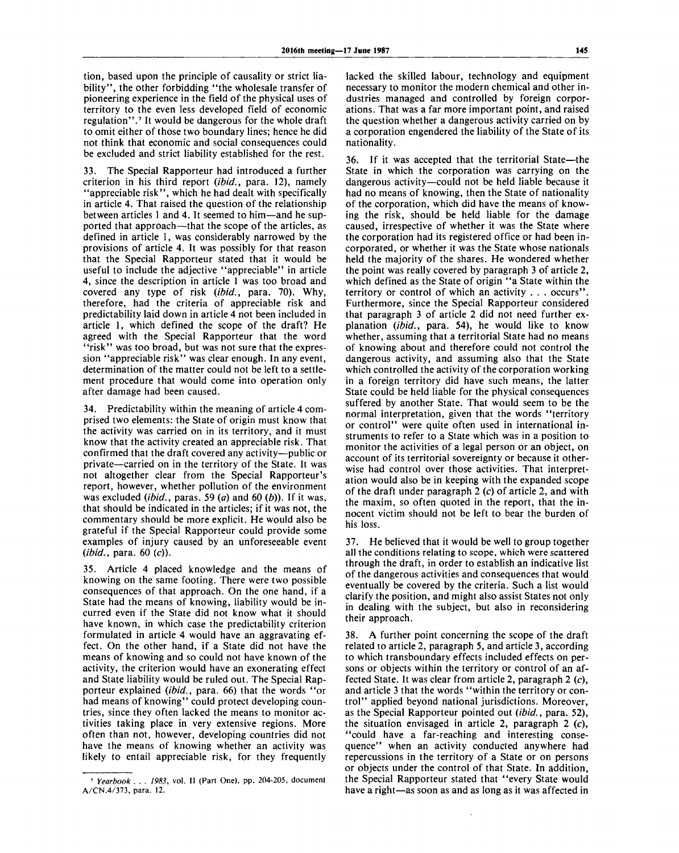tion, based upon the principle of causality or strict liability", the other forbidding "the wholesale transfer of pioneering experience in the field of the physical uses of territory to the even less developed field of economic regulation".<sup>7</sup> It would be dangerous for the whole draft to omit either of those two boundary lines; hence he did not think that economic and social consequences could be excluded and strict liability established for the rest.

33. The Special Rapporteur had introduced a further criterion in his third report *(ibid.,* para. 12), namely "appreciable risk", which he had dealt with specifically in article 4. That raised the question of the relationship between articles 1 and 4. It seemed to him—and he supported that approach—that the scope of the articles, as defined in article 1, was considerably narrowed by the provisions of article 4. It was possibly for that reason that the Special Rapporteur stated that it would be useful to include the adjective "appreciable" in article 4, since the description in article 1 was too broad and covered any type of risk *(ibid.,* para. 70). Why, therefore, had the criteria of appreciable risk and predictability laid down in article 4 not been included in article 1, which defined the scope of the draft? He agreed with the Special Rapporteur that the word "risk" was too broad, but was not sure that the expression "appreciable risk" was clear enough. In any event, determination of the matter could not be left to a settlement procedure that would come into operation only after damage had been caused.

Predictability within the meaning of article 4 comprised two elements: the State of origin must know that the activity was carried on in its territory, and it must know that the activity created an appreciable risk. That confirmed that the draft covered any activity—public or private—carried on in the territory of the State. It was not altogether clear from the Special Rapporteur's report, however, whether pollution of the environment was excluded *(ibid.,* paras. 59 *(a)* and 60 *(b)).* If it was, that should be indicated in the articles; if it was not, the commentary should be more explicit. He would also be grateful if the Special Rapporteur could provide some examples of injury caused by an unforeseeable event *(ibid.,* para. 60 (c)).

Article 4 placed knowledge and the means of knowing on the same footing. There were two possible consequences of that approach. On the one hand, if a State had the means of knowing, liability would be incurred even if the State did not know what it should have known, in which case the predictability criterion formulated in article 4 would have an aggravating effect. On the other hand, if a State did not have the means of knowing and so could not have known of the activity, the criterion would have an exonerating effect and State liability would be ruled out. The Special Rapporteur explained *(ibid.,* para. 66) that the words "or had means of knowing" could protect developing countries, since they often lacked the means to monitor activities taking place in very extensive regions. More often than not, however, developing countries did not have the means of knowing whether an activity was likely to entail appreciable risk, for they frequently

lacked the skilled labour, technology and equipment necessary to monitor the modern chemical and other industries managed and controlled by foreign corporations. That was a far more important point, and raised the question whether a dangerous activity carried on by a corporation engendered the liability of the State of its nationality.

36. If it was accepted that the territorial State—the State in which the corporation was carrying on the dangerous activity—could not be held liable because it had no means of knowing, then the State of nationality of the corporation, which did have the means of knowing the risk, should be held liable for the damage caused, irrespective of whether it was the State where the corporation had its registered office or had been incorporated, or whether it was the State whose nationals held the majority of the shares. He wondered whether the point was really covered by paragraph 3 of article 2, which defined as the State of origin "a State within the territory or control of which an activity . . . occurs". Furthermore, since the Special Rapporteur considered that paragraph 3 of article 2 did not need further explanation *(ibid.,* para. 54), he would like to know whether, assuming that a territorial State had no means of knowing about and therefore could not control the dangerous activity, and assuming also that the State which controlled the activity of the corporation working in a foreign territory did have such means, the latter State could be held liable for the physical consequences suffered by another State. That would seem to be the normal interpretation, given that the words "territory or control" were quite often used in international instruments to refer to a State which was in a position to monitor the activities of a legal person or an object, on account of its territorial sovereignty or because it otherwise had control over those activities. That interpretation would also be in keeping with the expanded scope of the draft under paragraph 2  $(c)$  of article 2, and with the maxim, so often quoted in the report, that the innocent victim should not be left to bear the burden of his loss.

37. He believed that it would be well to group together all the conditions relating to scope, which were scattered through the draft, in order to establish an indicative list of the dangerous activities and consequences that would eventually be covered by the criteria. Such a list would clarify the position, and might also assist States not only in dealing with the subject, but also in reconsidering their approach.

38. A further point concerning the scope of the draft related to article 2, paragraph 5, and article 3, according to which transboundary effects included effects on persons or objects within the territory or control of an affected State. It was clear from article *2,* paragraph 2 *(c),* and article 3 that the words "within the territory or control" applied beyond national jurisdictions. Moreover, as the Special Rapporteur pointed out *(ibid.,* para. 52), the situation envisaged in article 2, paragraph 2 *(c),* "could have a far-reaching and interesting consequence" when an activity conducted anywhere had repercussions in the territory of a State or on persons or objects under the control of that State. In addition, the Special Rapporteur stated that "every State would have a right—as soon as and as long as it was affected in

<sup>7</sup>  *Yearbook . . . 1983,* vol. II (Part One), pp. 204-205, document A/CN.4/373, para. 12.